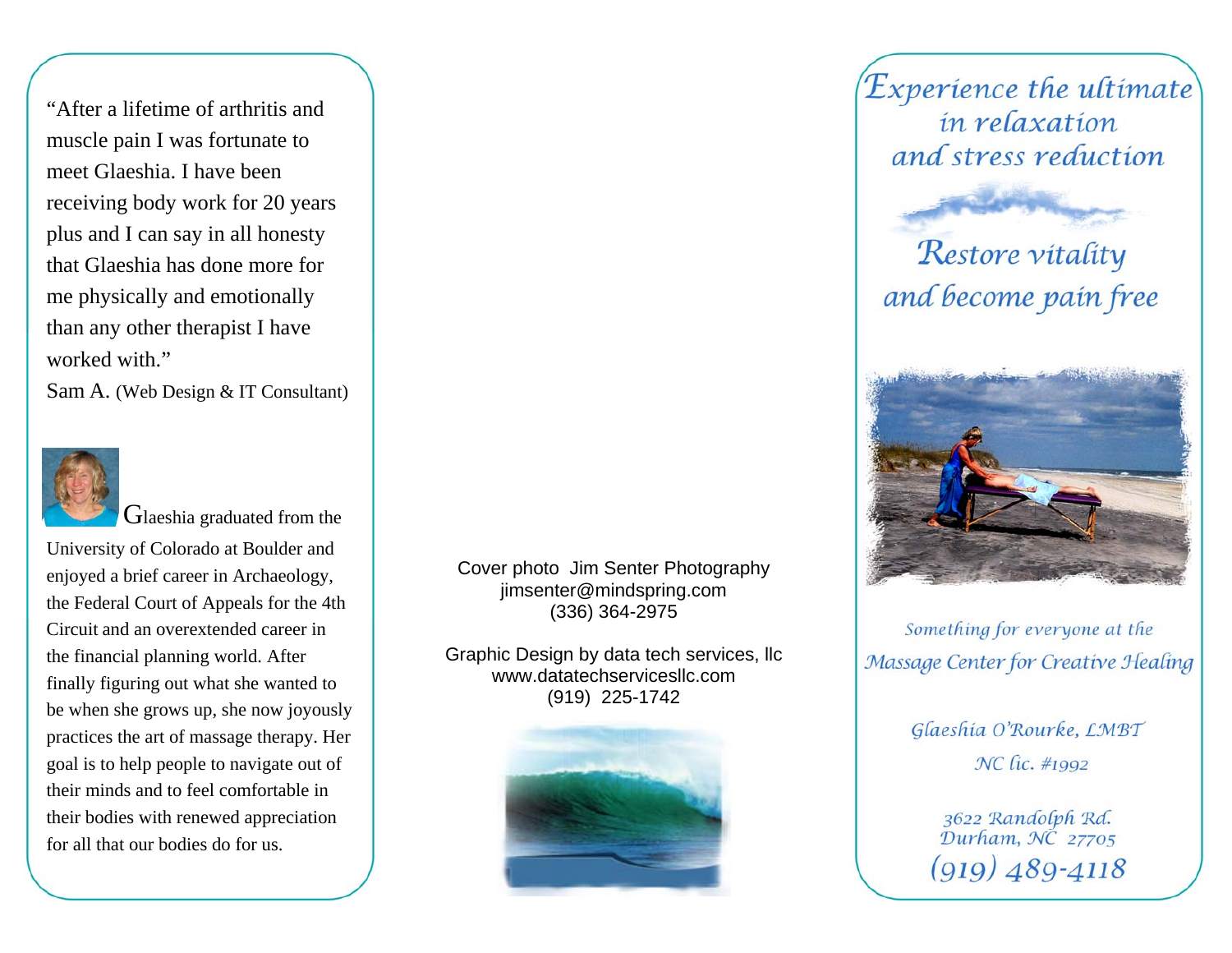"After a lifetime of arthritis and muscle pain I was fortunate to meet Glaeshia. I have been receiving body work for 20 years plus and I can say in all honesty that Glaeshia has done more for me physically and emotionally than any other therapist I have worked with"

Sam A. (Web Design & IT Consultant)



Glaeshia graduated from the

University of Colorado at Boulder and enjoyed a brief career in Archaeology, the Federal Court of Appeals for the 4th Circuit and an overextended career in the financial planning world. After finally figuring out what she wanted to be when she grows up, she now joyously practices the art of massage therapy. Her goal is to help people to navigate out of their minds and to feel comfortable in their bodies with renewed appreciation for all that our bodies do for us.

Cover photo Jim Senter Photography jimsenter@mindspring.com (336) 364-2975

Graphic Design by data tech services, llc www.datatechservicesllc.com (919) 225-1742



 $' \mathcal{E}$ xperience the ultimate $'$ in relaxation and stress reduction.





Something for everyone at the Massage Center for Creative Healing

> Glaeshia O'Rourke, LMBT NC lic. #1992

3622 Randolph Rd. Durham, NC 27705  $(919)$  489-4118